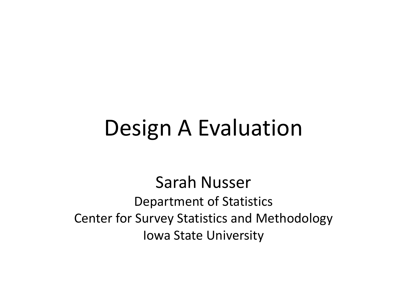## Design A Evaluation

#### Sarah Nusser

Department of Statistics Center for Survey Statistics and Methodology Iowa State University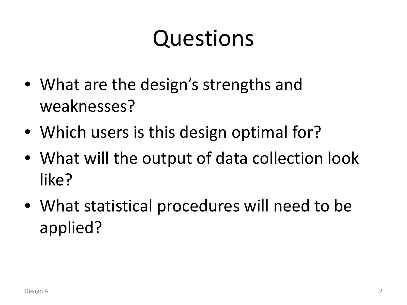## Questions

- What are the design's strengths and weaknesses?
- Which users is this design optimal for?
- What will the output of data collection look like?
- What statistical procedures will need to be applied?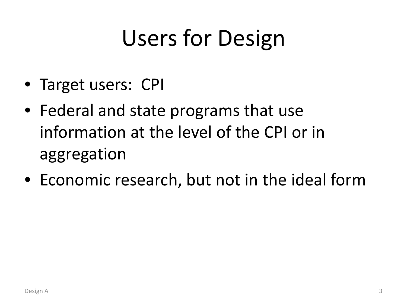## Users for Design

- Target users: CPI
- Federal and state programs that use information at the level of the CPI or in aggregation
- Economic research, but not in the ideal form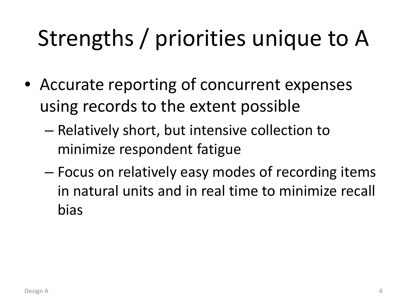# Strengths / priorities unique to A

- Accurate reporting of concurrent expenses using records to the extent possible
	- Relatively short, but intensive collection to minimize respondent fatigue
	- Focus on relatively easy modes of recording items in natural units and in real time to minimize recall bias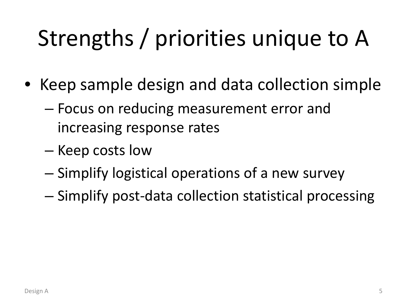# Strengths / priorities unique to A

- Keep sample design and data collection simple
	- Focus on reducing measurement error and increasing response rates
	- Keep costs low
	- Simplify logistical operations of a new survey
	- Simplify post-data collection statistical processing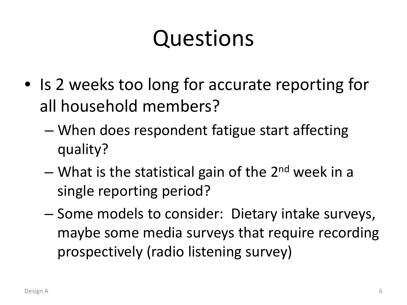# Questions

- Is 2 weeks too long for accurate reporting for all household members?
	- When does respondent fatigue start affecting quality?
	- What is the statistical gain of the  $2^{nd}$  week in a single reporting period?
	- Some models to consider: Dietary intake surveys, maybe some media surveys that require recording prospectively (radio listening survey)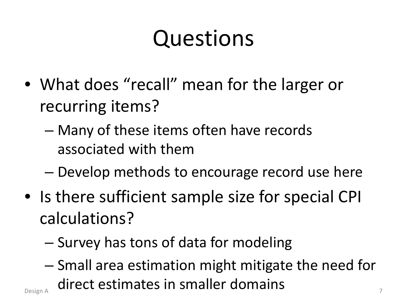# Questions

- What does "recall" mean for the larger or recurring items?
	- Many of these items often have records associated with them
	- Develop methods to encourage record use here
- Is there sufficient sample size for special CPI calculations?
	- Survey has tons of data for modeling
- Small area estimation might mitigate the need for  $\sigma_{\text{Design A}}$  direct estimates in smaller domains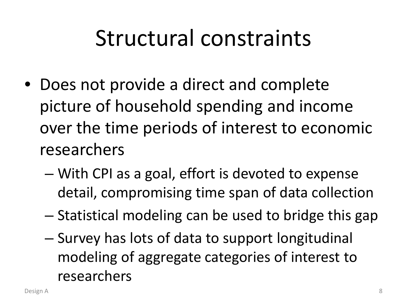## Structural constraints

- Does not provide a direct and complete picture of household spending and income over the time periods of interest to economic researchers
	- With CPI as a goal, effort is devoted to expense detail, compromising time span of data collection
	- Statistical modeling can be used to bridge this gap
	- Survey has lots of data to support longitudinal modeling of aggregate categories of interest to researchers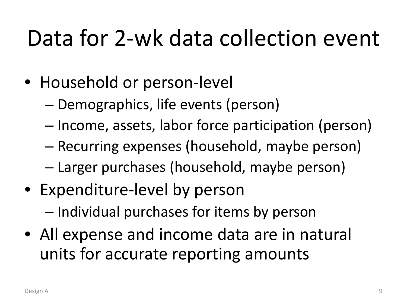## Data for 2-wk data collection event

- Household or person-level
	- Demographics, life events (person)
	- Income, assets, labor force participation (person)
	- Recurring expenses (household, maybe person)
	- Larger purchases (household, maybe person)
- Expenditure-level by person – Individual purchases for items by person
- All expense and income data are in natural units for accurate reporting amounts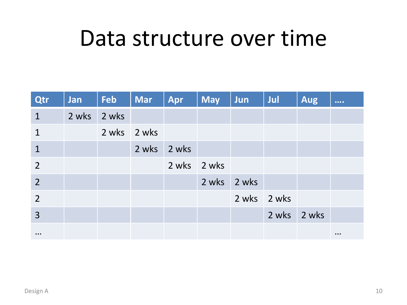#### Data structure over time

| Qtr            | Jan         | Feb         | Mar   | Apr         | <b>May</b>  | Jun         | Jul         | <b>Aug</b> | $\begin{array}{ccc} \bullet & \bullet & \bullet & \bullet \end{array}$ |
|----------------|-------------|-------------|-------|-------------|-------------|-------------|-------------|------------|------------------------------------------------------------------------|
| $\mathbf{1}$   | 2 wks 2 wks |             |       |             |             |             |             |            |                                                                        |
| $\mathbf{1}$   |             | 2 wks 2 wks |       |             |             |             |             |            |                                                                        |
| $\mathbf{1}$   |             |             | 2 wks | 2 wks       |             |             |             |            |                                                                        |
| $\overline{2}$ |             |             |       | 2 wks 2 wks |             |             |             |            |                                                                        |
| $\overline{2}$ |             |             |       |             | 2 wks 2 wks |             |             |            |                                                                        |
| $\overline{2}$ |             |             |       |             |             | 2 wks 2 wks |             |            |                                                                        |
| 3              |             |             |       |             |             |             | 2 wks 2 wks |            |                                                                        |
| $\cdots$       |             |             |       |             |             |             |             |            | $\cdots$                                                               |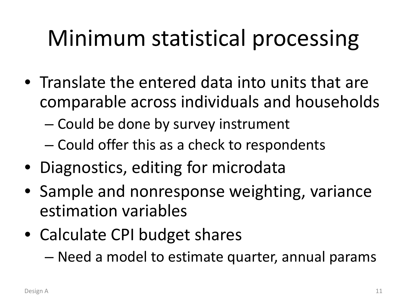# Minimum statistical processing

- Translate the entered data into units that are comparable across individuals and households
	- Could be done by survey instrument
	- Could offer this as a check to respondents
- Diagnostics, editing for microdata
- Sample and nonresponse weighting, variance estimation variables
- Calculate CPI budget shares
	- Need a model to estimate quarter, annual params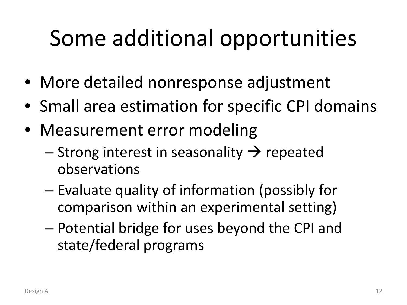## Some additional opportunities

- More detailed nonresponse adjustment
- Small area estimation for specific CPI domains
- Measurement error modeling
	- $-$  Strong interest in seasonality  $\rightarrow$  repeated observations
	- Evaluate quality of information (possibly for comparison within an experimental setting)
	- Potential bridge for uses beyond the CPI and state/federal programs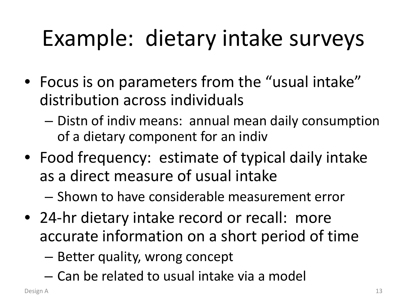# Example: dietary intake surveys

- Focus is on parameters from the "usual intake" distribution across individuals
	- Distn of indiv means: annual mean daily consumption of a dietary component for an indiv
- Food frequency: estimate of typical daily intake as a direct measure of usual intake
	- Shown to have considerable measurement error
- 24-hr dietary intake record or recall: more accurate information on a short period of time
	- Better quality, wrong concept
	- Can be related to usual intake via a model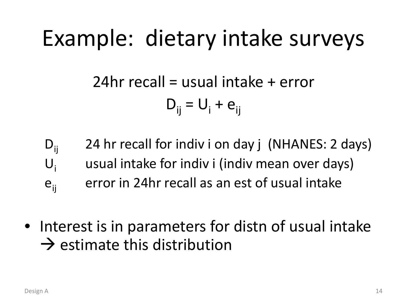## Example: dietary intake surveys

24hr recall = usual intake + error  $D_{ii} = U_i + e_{ii}$ 

- $D_{ii}$  24 hr recall for indiv i on day j (NHANES: 2 days)  $U_i$  usual intake for indiv i (indiv mean over days)  $e_{ii}$  error in 24hr recall as an est of usual intake
- Interest is in parameters for distn of usual intake  $\rightarrow$  estimate this distribution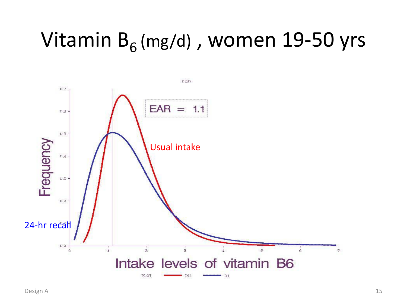### Vitamin  $B_6$  (mg/d), women 19-50 yrs